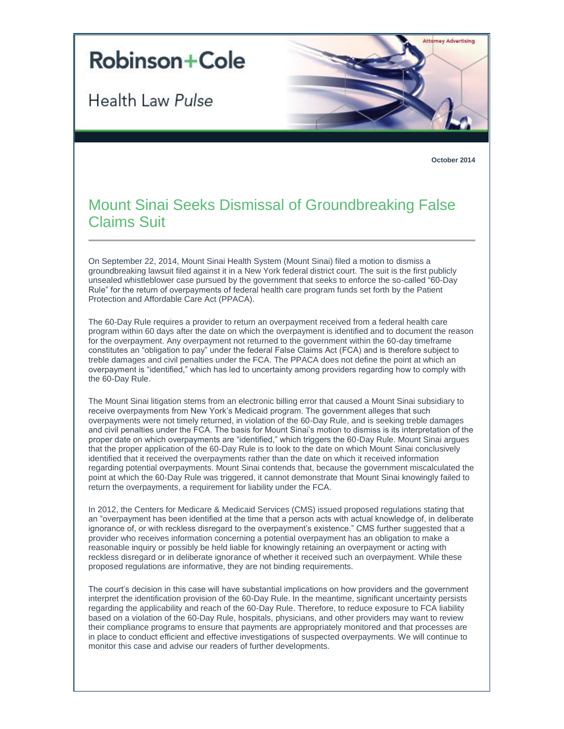## **Robinson+Cole**

**Health Law Pulse** 



**October 2014**

## Mount Sinai Seeks Dismissal of Groundbreaking False Claims Suit

On September 22, 2014, Mount Sinai Health System (Mount Sinai) filed a motion to dismiss a groundbreaking lawsuit filed against it in a New York federal district court. The suit is the first publicly unsealed whistleblower case pursued by the government that seeks to enforce the so-called "60-Day Rule" for the return of overpayments of federal health care program funds set forth by the Patient Protection and Affordable Care Act (PPACA).

The 60-Day Rule requires a provider to return an overpayment received from a federal health care program within 60 days after the date on which the overpayment is identified and to document the reason for the overpayment. Any overpayment not returned to the government within the 60-day timeframe constitutes an "obligation to pay" under the federal False Claims Act (FCA) and is therefore subject to treble damages and civil penalties under the FCA. The PPACA does not define the point at which an overpayment is "identified," which has led to uncertainty among providers regarding how to comply with the 60-Day Rule.

The Mount Sinai litigation stems from an electronic billing error that caused a Mount Sinai subsidiary to receive overpayments from New York's Medicaid program. The government alleges that such overpayments were not timely returned, in violation of the 60-Day Rule, and is seeking treble damages and civil penalties under the FCA. The basis for Mount Sinai's motion to dismiss is its interpretation of the proper date on which overpayments are "identified," which triggers the 60-Day Rule. Mount Sinai argues that the proper application of the 60-Day Rule is to look to the date on which Mount Sinai conclusively identified that it received the overpayments rather than the date on which it received information regarding potential overpayments. Mount Sinai contends that, because the government miscalculated the point at which the 60-Day Rule was triggered, it cannot demonstrate that Mount Sinai knowingly failed to return the overpayments, a requirement for liability under the FCA.

In 2012, the Centers for Medicare & Medicaid Services (CMS) issued proposed regulations stating that an "overpayment has been identified at the time that a person acts with actual knowledge of, in deliberate ignorance of, or with reckless disregard to the overpayment's existence." CMS further suggested that a provider who receives information concerning a potential overpayment has an obligation to make a reasonable inquiry or possibly be held liable for knowingly retaining an overpayment or acting with reckless disregard or in deliberate ignorance of whether it received such an overpayment. While these proposed regulations are informative, they are not binding requirements.

The court's decision in this case will have substantial implications on how providers and the government interpret the identification provision of the 60-Day Rule. In the meantime, significant uncertainty persists regarding the applicability and reach of the 60-Day Rule. Therefore, to reduce exposure to FCA liability based on a violation of the 60-Day Rule, hospitals, physicians, and other providers may want to review their compliance programs to ensure that payments are appropriately monitored and that processes are in place to conduct efficient and effective investigations of suspected overpayments. We will continue to monitor this case and advise our readers of further developments.